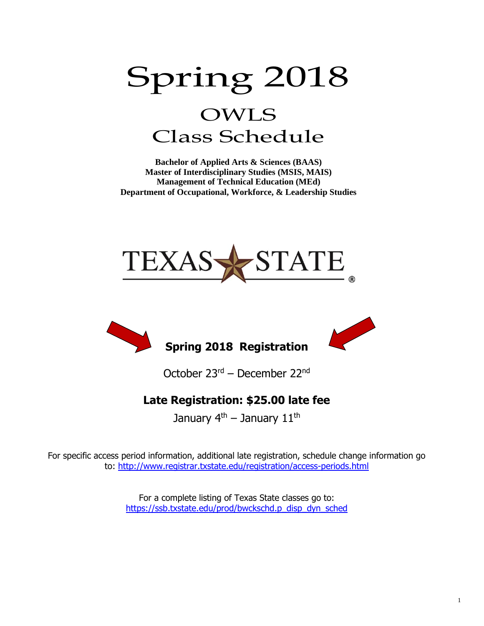# Spring 2018 OWLS Class Schedule

**Bachelor of Applied Arts & Sciences (BAAS) Master of Interdisciplinary Studies (MSIS, MAIS) Management of Technical Education (MEd) Department of Occupational, Workforce, & Leadership Studies**





October 23rd – December 22nd

### **Late Registration: \$25.00 late fee**

January  $4<sup>th</sup>$  – January  $11<sup>th</sup>$ 

For specific access period information, additional late registration, schedule change information go to:<http://www.registrar.txstate.edu/registration/access-periods.html>

> For a complete listing of Texas State classes go to: [https://ssb.txstate.edu/prod/bwckschd.p\\_disp\\_dyn\\_sched](https://ssb.txstate.edu/prod/bwckschd.p_disp_dyn_sched)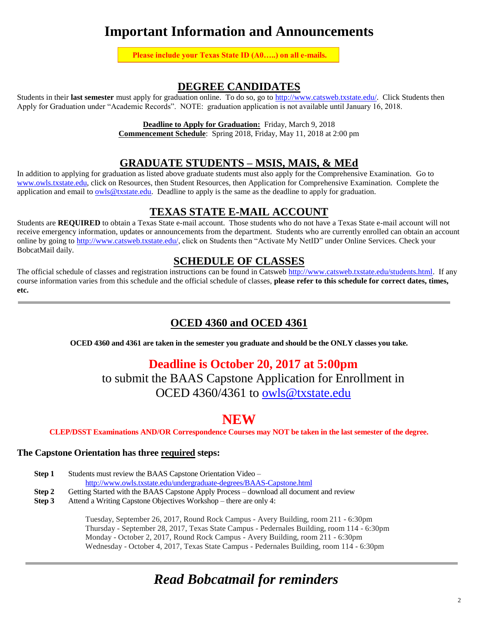### **Important Information and Announcements**

**Please include your Texas State ID (A0…..) on all e-mails.**

#### **DEGREE CANDIDATES**

Students in their **last semester** must apply for graduation online. To do so, go to [http://www.catsweb.txstate.edu/.](http://www.catsweb.txstate.edu/) Click Students then Apply for Graduation under "Academic Records". NOTE: graduation application is not available until January 16, 2018.

**Deadline to Apply for Graduation:** Friday, March 9, 2018

**Commencement Schedule**: Spring 2018, Friday, May 11, 2018 at 2:00 pm

#### **GRADUATE STUDENTS – MSIS, MAIS, & MEd**

In addition to applying for graduation as listed above graduate students must also apply for the Comprehensive Examination. Go to [www.owls.txstate.edu,](http://www.owls.txstate.edu/) click on Resources, then Student Resources, then Application for Comprehensive Examination. Complete the application and email to  $\frac{owls@t x state.edu}{}$ . Deadline to apply is the same as the deadline to apply for graduation.

#### **TEXAS STATE E-MAIL ACCOUNT**

Students are **REQUIRED** to obtain a Texas State e-mail account. Those students who do not have a Texas State e-mail account will not receive emergency information, updates or announcements from the department. Students who are currently enrolled can obtain an account online by going to [http://www.catsweb.txstate.edu/,](http://www.catsweb.txstate.edu/) click on Students then "Activate My NetID" under Online Services. Check your BobcatMail daily.

#### **SCHEDULE OF CLASSES**

The official schedule of classes and registration instructions can be found in Catsweb [http://www.catsweb.txstate.edu/students.html.](http://www.catsweb.txstate.edu/students.html) If any course information varies from this schedule and the official schedule of classes, **please refer to this schedule for correct dates, times, etc.** 

#### **OCED 4360 and OCED 4361**

**OCED 4360 and 4361 are taken in the semester you graduate and should be the ONLY classes you take.**

### **Deadline is October 20, 2017 at 5:00pm**

to submit the BAAS Capstone Application for Enrollment in OCED 4360/4361 to [owls@txstate.edu](mailto:owls@txstate.edu)

### **NEW**

**CLEP/DSST Examinations AND/OR Correspondence Courses may NOT be taken in the last semester of the degree.**

#### **The Capstone Orientation has three required steps:**

| Step 1 | Students must review the BAAS Capstone Orientation Video –                              |  |  |  |  |
|--------|-----------------------------------------------------------------------------------------|--|--|--|--|
|        | http://www.owls.txstate.edu/undergraduate-degrees/BAAS-Capstone.html                    |  |  |  |  |
| Step 2 | Getting Started with the BAAS Capstone Apply Process – download all document and review |  |  |  |  |

**Step 3** Attend a Writing Capstone Objectives Workshop – there are only 4:

Tuesday, September 26, 2017, Round Rock Campus - Avery Building, room 211 - 6:30pm Thursday - September 28, 2017, Texas State Campus - Pedernales Building, room 114 - 6:30pm Monday - October 2, 2017, Round Rock Campus - Avery Building, room 211 - 6:30pm Wednesday - October 4, 2017, Texas State Campus - Pedernales Building, room 114 - 6:30pm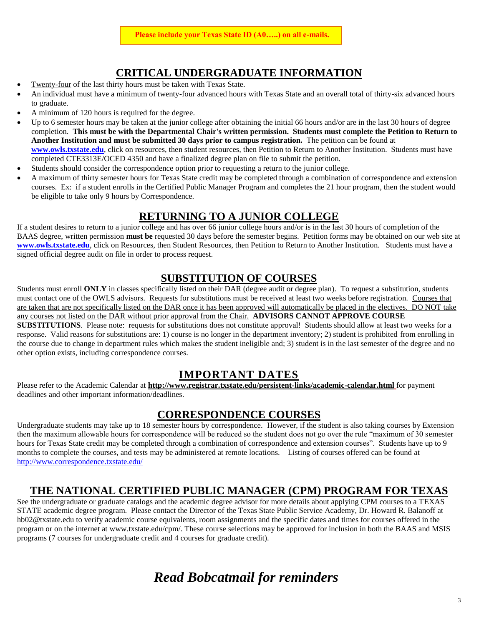### **CRITICAL UNDERGRADUATE INFORMATION**

- Twenty-four of the last thirty hours must be taken with Texas State.
- An individual must have a minimum of twenty-four advanced hours with Texas State and an overall total of thirty-six advanced hours to graduate.
- A minimum of 120 hours is required for the degree.
- Up to 6 semester hours may be taken at the junior college after obtaining the initial 66 hours and/or are in the last 30 hours of degree completion. **This must be with the Departmental Chair's written permission. Students must complete the Petition to Return to Another Institution and must be submitted 30 days prior to campus registration.** The petition can be found at **[www.owls.txstate.edu](http://www.owls.txstate.edu/)**, click on resources, then student resources, then Petition to Return to Another Institution. Students must have completed CTE3313E/OCED 4350 and have a finalized degree plan on file to submit the petition.
- Students should consider the correspondence option prior to requesting a return to the junior college.
- A maximum of thirty semester hours for Texas State credit may be completed through a combination of correspondence and extension courses. Ex: if a student enrolls in the Certified Public Manager Program and completes the 21 hour program, then the student would be eligible to take only 9 hours by Correspondence.

#### **RETURNING TO A JUNIOR COLLEGE**

If a student desires to return to a junior college and has over 66 junior college hours and/or is in the last 30 hours of completion of the BAAS degree, written permission **must be** requested 30 days before the semester begins. Petition forms may be obtained on our web site at **[www.owls.txstate.edu](http://www.owls.txstate.edu/)**, click on Resources, then Student Resources, then Petition to Return to Another Institution. Students must have a signed official degree audit on file in order to process request.

#### **SUBSTITUTION OF COURSES**

Students must enroll **ONLY** in classes specifically listed on their DAR (degree audit or degree plan). To request a substitution, students must contact one of the OWLS advisors. Requests for substitutions must be received at least two weeks before registration. Courses that are taken that are not specifically listed on the DAR once it has been approved will automatically be placed in the electives. DO NOT take any courses not listed on the DAR without prior approval from the Chair. **ADVISORS CANNOT APPROVE COURSE SUBSTITUTIONS**. Please note: requests for substitutions does not constitute approval! Students should allow at least two weeks for a response. Valid reasons for substitutions are: 1) course is no longer in the department inventory; 2) student is prohibited from enrolling in the course due to change in department rules which makes the student ineligible and; 3) student is in the last semester of the degree and no other option exists, including correspondence courses.

#### **IMPORTANT DATES**

Please refer to the Academic Calendar at **<http://www.registrar.txstate.edu/persistent-links/academic-calendar.html>** for payment deadlines and other important information/deadlines.

#### **CORRESPONDENCE COURSES**

Undergraduate students may take up to 18 semester hours by correspondence. However, if the student is also taking courses by Extension then the maximum allowable hours for correspondence will be reduced so the student does not go over the rule "maximum of 30 semester hours for Texas State credit may be completed through a combination of correspondence and extension courses". Students have up to 9 months to complete the courses, and tests may be administered at remote locations. Listing of courses offered can be found at <http://www.correspondence.txstate.edu/>

#### **THE NATIONAL CERTIFIED PUBLIC MANAGER (CPM) PROGRAM FOR TEXAS**

See the undergraduate or graduate catalogs and the academic degree advisor for more details about applying CPM courses to a TEXAS STATE academic degree program. Please contact the Director of the Texas State Public Service Academy, Dr. Howard R. Balanoff at hb02@txstate.edu to verify academic course equivalents, room assignments and the specific dates and times for courses offered in the program or on the internet at www.txstate.edu/cpm/. These course selections may be approved for inclusion in both the BAAS and MSIS programs (7 courses for undergraduate credit and 4 courses for graduate credit).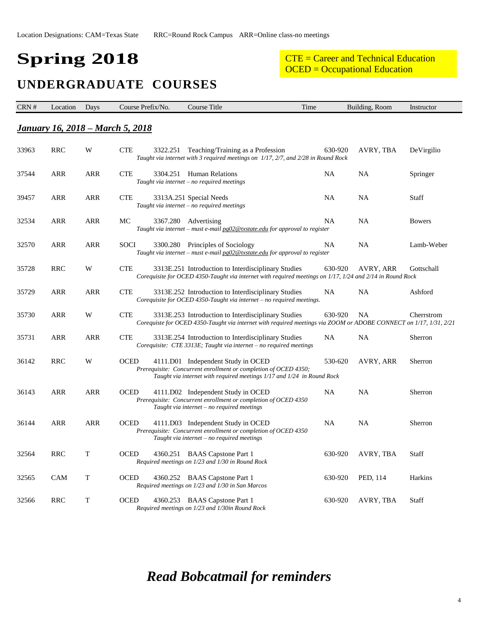# **Spring 2018**

#### CTE = Career and Technical Education OCED = Occupational Education

### **UNDERGRADUATE COURSES**

| CRN # | Location   | Days       | Course Prefix/No.                        | Course Title                                                                                                                                                                    | Time    | Building, Room | Instructor    |
|-------|------------|------------|------------------------------------------|---------------------------------------------------------------------------------------------------------------------------------------------------------------------------------|---------|----------------|---------------|
|       |            |            | <u> January 16, 2018 – March 5, 2018</u> |                                                                                                                                                                                 |         |                |               |
| 33963 | <b>RRC</b> | W          | <b>CTE</b><br>3322.251                   | Teaching/Training as a Profession<br>Taught via internet with 3 required meetings on 1/17, 2/7, and 2/28 in Round Rock                                                          | 630-920 | AVRY, TBA      | DeVirgilio    |
| 37544 | ARR        | <b>ARR</b> | <b>CTE</b>                               | 3304.251 Human Relations<br>Taught via internet - no required meetings                                                                                                          | NA      | NA             | Springer      |
| 39457 | ARR        | <b>ARR</b> | <b>CTE</b>                               | 3313A.251 Special Needs<br>Taught via internet - no required meetings                                                                                                           | NA      | NA             | Staff         |
| 32534 | ARR        | <b>ARR</b> | MC<br>3367.280                           | Advertising<br>Taught via internet – must e-mail $pg02@txstate.edu$ for approval to register                                                                                    | NA      | NA             | <b>Bowers</b> |
| 32570 | ARR        | ARR        | <b>SOCI</b>                              | 3300.280 Principles of Sociology<br>Taught via internet - must e-mail pg02@txstate.edu for approval to register                                                                 | NA      | NA             | Lamb-Weber    |
| 35728 | <b>RRC</b> | W          | <b>CTE</b>                               | 3313E.251 Introduction to Interdisciplinary Studies<br>Corequisite for OCED 4350-Taught via internet with required meetings on 1/17, 1/24 and 2/14 in Round Rock                | 630-920 | AVRY, ARR      | Gottschall    |
| 35729 | <b>ARR</b> | <b>ARR</b> | <b>CTE</b>                               | 3313E.252 Introduction to Interdisciplinary Studies<br>Corequisite for OCED 4350-Taught via internet - no required meetings.                                                    | NA      | NA             | Ashford       |
| 35730 | <b>ARR</b> | W          | <b>CTE</b>                               | 3313E.253 Introduction to Interdisciplinary Studies<br>Corequiste for OCED 4350-Taught via internet with required meetings via ZOOM or ADOBE CONNECT on 1/17, 1/31, 2/21        | 630-920 | NA             | Cherrstrom    |
| 35731 | ARR        | ARR        | <b>CTE</b>                               | 3313E.254 Introduction to Interdisciplinary Studies<br>Corequisite: CTE 3313E; Taught via internet - no required meetings                                                       | NA      | NA             | Sherron       |
| 36142 | <b>RRC</b> | W          | <b>OCED</b>                              | 4111.D01 Independent Study in OCED<br>Prerequisite: Concurrent enrollment or completion of OCED 4350;<br>Taught via internet with required meetings 1/17 and 1/24 in Round Rock | 530-620 | AVRY, ARR      | Sherron       |
| 36143 | ARR        | <b>ARR</b> | <b>OCED</b>                              | 4111.D02 Independent Study in OCED<br>Prerequisite: Concurrent enrollment or completion of OCED 4350<br>Taught via internet - no required meetings                              | NA      | NA             | Sherron       |
| 36144 | ARR        | <b>ARR</b> | <b>OCED</b>                              | 4111.D03 Independent Study in OCED<br>Prerequisite: Concurrent enrollment or completion of OCED 4350<br>Taught via internet – no required meetings                              | NA      | NA             | Sherron       |
| 32564 | <b>RRC</b> | T          | <b>OCED</b>                              | 4360.251 BAAS Capstone Part 1<br>Required meetings on 1/23 and 1/30 in Round Rock                                                                                               | 630-920 | AVRY, TBA      | <b>Staff</b>  |
| 32565 | <b>CAM</b> | T          | <b>OCED</b>                              | 4360.252 BAAS Capstone Part 1<br>Required meetings on 1/23 and 1/30 in San Marcos                                                                                               | 630-920 | PED, 114       | Harkins       |
| 32566 | <b>RRC</b> | T          | <b>OCED</b>                              | 4360.253 BAAS Capstone Part 1<br>Required meetings on 1/23 and 1/30in Round Rock                                                                                                | 630-920 | AVRY, TBA      | <b>Staff</b>  |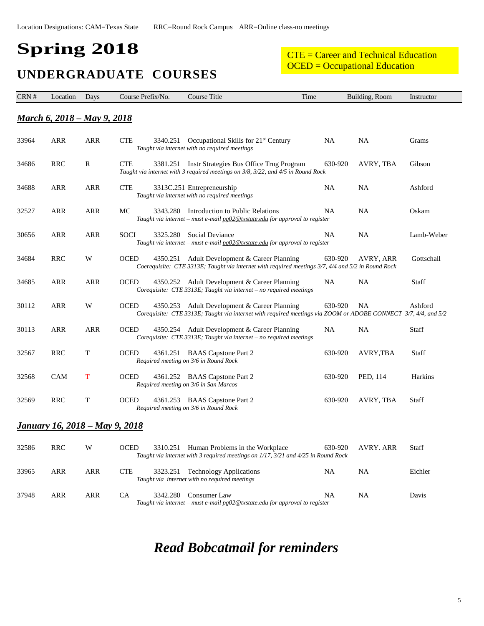# **Spring 2018**

# **UNDERGRADUATE COURSES**

CTE = Career and Technical Education OCED = Occupational Education

| CRN #                                 | Location                            | Days       | Course Prefix/No.       | Course Title                                                                                                                                          | Time      | Building, Room | Instructor   |
|---------------------------------------|-------------------------------------|------------|-------------------------|-------------------------------------------------------------------------------------------------------------------------------------------------------|-----------|----------------|--------------|
|                                       | <u> March 6, 2018 – May 9, 2018</u> |            |                         |                                                                                                                                                       |           |                |              |
| 33964                                 | <b>ARR</b>                          | ARR        | <b>CTE</b><br>3340.251  | Occupational Skills for 21 <sup>st</sup> Century<br>Taught via internet with no required meetings                                                     | NA        | NA             | Grams        |
| 34686                                 | <b>RRC</b>                          | R          | <b>CTE</b>              | 3381.251 Instr Strategies Bus Office Trng Program<br>Taught via internet with 3 required meetings on 3/8, 3/22, and 4/5 in Round Rock                 | 630-920   | AVRY, TBA      | Gibson       |
| 34688                                 | ARR                                 | ARR        | <b>CTE</b>              | 3313C.251 Entrepreneurship<br>Taught via internet with no required meetings                                                                           | NA        | NA             | Ashford      |
| 32527                                 | ARR                                 | <b>ARR</b> | MC                      | 3343.280 Introduction to Public Relations<br>Taught via internet – must e-mail $pg02@txstate.edu$ for approval to register                            | NA        | NA             | Oskam        |
| 30656                                 | ARR                                 | <b>ARR</b> | <b>SOCI</b><br>3325.280 | Social Deviance<br>Taught via internet - must e-mail pg02@txstate.edu for approval to register                                                        | NA        | NA             | Lamb-Weber   |
| 34684                                 | RRC                                 | W          | <b>OCED</b><br>4350.251 | Adult Development & Career Planning<br>Coerequisite: CTE 3313E; Taught via internet with required meetings 3/7, 4/4 and 5/2 in Round Rock             | 630-920   | AVRY, ARR      | Gottschall   |
| 34685                                 | <b>ARR</b>                          | <b>ARR</b> | <b>OCED</b>             | 4350.252 Adult Development & Career Planning<br>Corequisite: CTE 3313E; Taught via internet - no required meetings                                    | <b>NA</b> | NA             | <b>Staff</b> |
| 30112                                 | <b>ARR</b>                          | W          | <b>OCED</b><br>4350.253 | Adult Development & Career Planning<br>Corequisite: CTE 3313E; Taught via internet with required meetings via ZOOM or ADOBE CONNECT 3/7, 4/4, and 5/2 | 630-920   | NA.            | Ashford      |
| 30113                                 | ARR                                 | ARR        | <b>OCED</b>             | 4350.254 Adult Development & Career Planning<br>Corequisite: CTE 3313E; Taught via internet - no required meetings                                    | NA        | <b>NA</b>      | Staff        |
| 32567                                 | <b>RRC</b>                          | T          | <b>OCED</b>             | 4361.251 BAAS Capstone Part 2<br>Required meeting on 3/6 in Round Rock                                                                                | 630-920   | AVRY, TBA      | <b>Staff</b> |
| 32568                                 | <b>CAM</b>                          | T          | <b>OCED</b>             | 4361.252 BAAS Capstone Part 2<br>Required meeting on 3/6 in San Marcos                                                                                | 630-920   | PED, 114       | Harkins      |
| 32569                                 | <b>RRC</b>                          | T          | <b>OCED</b>             | 4361.253 BAAS Capstone Part 2<br>Required meeting on 3/6 in Round Rock                                                                                | 630-920   | AVRY, TBA      | Staff        |
| <u>January 16, 2018 – May 9, 2018</u> |                                     |            |                         |                                                                                                                                                       |           |                |              |
| 32586                                 | <b>RRC</b>                          | W          | <b>OCED</b><br>3310.251 | Human Problems in the Workplace<br>Taught via internet with 3 required meetings on 1/17, 3/21 and 4/25 in Round Rock                                  | 630-920   | AVRY. ARR      | Staff        |
| 33965                                 | <b>ARR</b>                          | <b>ARR</b> | <b>CTE</b><br>3323.251  | <b>Technology Applications</b><br>Taught via internet with no required meetings                                                                       | <b>NA</b> | NA             | Eichler      |
| 37948                                 | ARR                                 | ARR        | <b>CA</b>               | 3342.280 Consumer Law<br>Taught via internet – must e-mail $pg02@txstate.edu$ for approval to register                                                | NA        | NA             | Davis        |